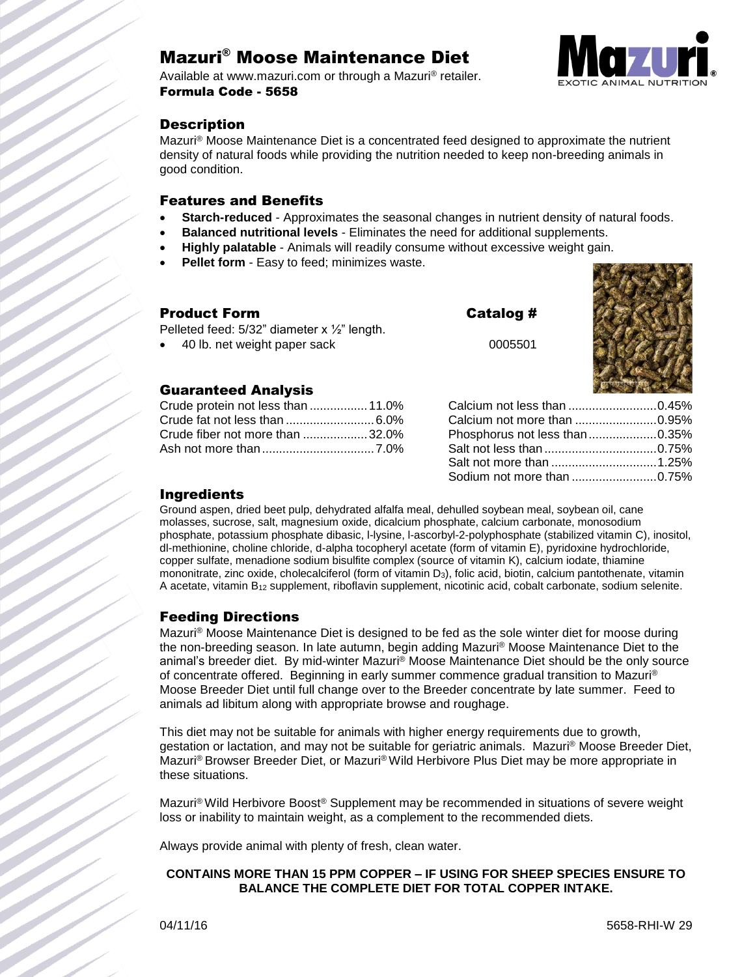# Mazuri® Moose Maintenance Diet

Available at www.mazuri.com or through a Mazuri® retailer. Formula Code - 5658



# **Description**

Mazuri® Moose Maintenance Diet is a concentrated feed designed to approximate the nutrient density of natural foods while providing the nutrition needed to keep non-breeding animals in good condition.

#### Features and Benefits

- **Starch-reduced** Approximates the seasonal changes in nutrient density of natural foods.
- **Balanced nutritional levels** Eliminates the need for additional supplements.
- **Highly palatable** Animals will readily consume without excessive weight gain.
- **Pellet form** Easy to feed; minimizes waste.

| Product Form                                                                                 | Catalog # |
|----------------------------------------------------------------------------------------------|-----------|
| Pelleted feed: $5/32$ " diameter x $\frac{1}{2}$ " length.<br>• 40 lb. net weight paper sack | 0005501   |

#### Guaranteed Analysis

| Crude protein not less than  11.0% |  |
|------------------------------------|--|
|                                    |  |
| Crude fiber not more than 32.0%    |  |
|                                    |  |

| 9 #  |  |
|------|--|
| 5501 |  |
|      |  |
|      |  |

| Calcium not less than 0.45%   |  |
|-------------------------------|--|
| Calcium not more than 0.95%   |  |
| Phosphorus not less than0.35% |  |
|                               |  |
| Salt not more than 1.25%      |  |
| Sodium not more than 0.75%    |  |

## Ingredients

Ground aspen, dried beet pulp, dehydrated alfalfa meal, dehulled soybean meal, soybean oil, cane molasses, sucrose, salt, magnesium oxide, dicalcium phosphate, calcium carbonate, monosodium phosphate, potassium phosphate dibasic, l-lysine, l-ascorbyl-2-polyphosphate (stabilized vitamin C), inositol, dl-methionine, choline chloride, d-alpha tocopheryl acetate (form of vitamin E), pyridoxine hydrochloride, copper sulfate, menadione sodium bisulfite complex (source of vitamin K), calcium iodate, thiamine mononitrate, zinc oxide, cholecalciferol (form of vitamin D3), folic acid, biotin, calcium pantothenate, vitamin A acetate, vitamin B<sup>12</sup> supplement, riboflavin supplement, nicotinic acid, cobalt carbonate, sodium selenite.

## Feeding Directions

Mazuri® Moose Maintenance Diet is designed to be fed as the sole winter diet for moose during the non-breeding season. In late autumn, begin adding Mazuri® Moose Maintenance Diet to the animal's breeder diet. By mid-winter Mazuri® Moose Maintenance Diet should be the only source of concentrate offered. Beginning in early summer commence gradual transition to Mazuri® Moose Breeder Diet until full change over to the Breeder concentrate by late summer. Feed to animals ad libitum along with appropriate browse and roughage.

This diet may not be suitable for animals with higher energy requirements due to growth, gestation or lactation, and may not be suitable for geriatric animals. Mazuri® Moose Breeder Diet, Mazuri® Browser Breeder Diet, or Mazuri® Wild Herbivore Plus Diet may be more appropriate in these situations.

Mazuri® Wild Herbivore Boost® Supplement may be recommended in situations of severe weight loss or inability to maintain weight, as a complement to the recommended diets.

Always provide animal with plenty of fresh, clean water.

#### **CONTAINS MORE THAN 15 PPM COPPER – IF USING FOR SHEEP SPECIES ENSURE TO BALANCE THE COMPLETE DIET FOR TOTAL COPPER INTAKE.**